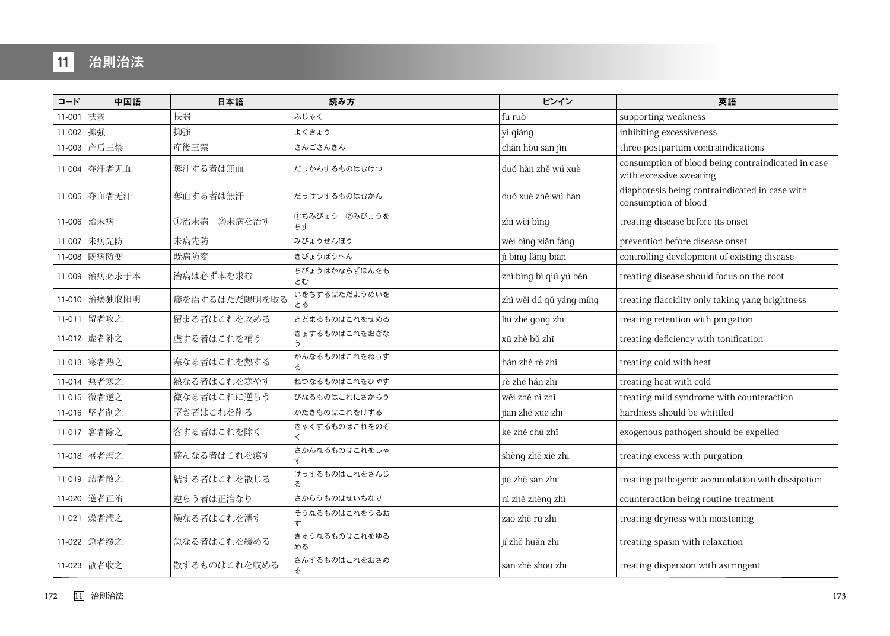## 11 治則治法

| コード         | 中国語           | 日本語           | 読み方                 | ピンイン                    | 英語                                                                            |
|-------------|---------------|---------------|---------------------|-------------------------|-------------------------------------------------------------------------------|
| 11-001 扶弱   |               | 扶弱            | ふじゃく                | fú ruò                  | supporting weakness                                                           |
| 11-002   抑强 |               | 抑強            | よくきょう               | yì qiáng                | inhibiting excessiveness                                                      |
|             | 11-003 产后三禁   | 産後三禁          | さんごさんきん             | chăn hòu sān jìn        | three postpartum contraindications                                            |
|             | 11-004 夺汗者无血  | 奪汗する者は無血      | だっかんするものはむけつ        | duó hàn zhě wú xuè      | consumption of blood being contraindicated in case<br>with excessive sweating |
|             | 11-005 夺血者无汗  | 奪血する者は無汗      | だっけつするものはむかん        | duó xuè zhě wú hàn      | diaphoresis being contraindicated in case with<br>consumption of blood        |
|             | 11-006 治未病    | ①治未病 ②未病を治す   | ①ちみびょう 2みびょうを<br>ちす | zhì wèi bìng            | treating disease before its onset                                             |
| 11-007      | 未病先防          | 未病先防          | みびょうせんぼう            | wèi bìng xiān fáng      | prevention before disease onset                                               |
|             | 11-008 既病防变   | 既病防変          | きびょうぼうへん            | jì bìng fáng biàn       | controlling development of existing disease                                   |
|             | 11-009 治病必求于本 | 治病は必ず本を求む     | ちびょうはかならずほんをも<br>とむ | zhì bìng bì qiú yú běn  | treating disease should focus on the root                                     |
|             | 11-010 治痿独取阳明 | 痿を治するはただ陽明を取る | いをちするはただようめいを<br>とる | zhì wěi dú qǔ yáng míng | treating flaccidity only taking yang brightness                               |
|             | 11-011 留者攻之   | 留まる者はこれを攻める   | とどまるものはこれをせめる       | liú zhě gōng zhī        | treating retention with purgation                                             |
|             | 11-012 虚者补之   | 虚する者はこれを補う    | きょするものはこれをおぎな<br>う  | xū zhě bů zhī           | treating deficiency with tonification                                         |
|             | 11-013 寒者热之   | 寒なる者はこれを熱する   | かんなるものはこれをねっす<br>る  | hán zhě rè zhī          | treating cold with heat                                                       |
|             | 11-014 热者寒之   | 熱なる者はこれを寒やす   | ねつなるものはこれをひやす       | rè zhě hán zhī          | treating heat with cold                                                       |
|             | 11-015 微者逆之   | 微なる者はこれに逆らう   | びなるものはこれにさからう       | wēi zhě nì zhī          | treating mild syndrome with counteraction                                     |
|             | 11-016 坚者削之   | 堅き者はこれを削る     | かたきものはこれをけずる        | jiān zhě xuē zhī        | hardness should be whittled                                                   |
|             | 11-017 客者除之   | 客する者はこれを除く    | きゃくするものはこれをのぞ       | kè zhě chú zhī          | exogenous pathogen should be expelled                                         |
|             | 11-018 盛者泻之   | 盛んなる者はこれを瀉す   | さかんなるものはこれをしゃ       | shèng zhě xiè zhī       | treating excess with purgation                                                |
|             | 11-019 结者散之   | 結する者はこれを散じる   | けっするものはこれをさんじ<br>る  | jié zhě sàn zhī         | treating pathogenic accumulation with dissipation                             |
|             | 11-020 逆者正治   | 逆らう者は正治なり     | さからうものはせいちなり        | nì zhě zhèng zhì        | counteraction being routine treatment                                         |
|             | 11-021 燥者濡之   | 燥なる者はこれを濡す    | そうなるものはこれをうるお<br>ォ  | zào zhě rú zhī          | treating dryness with moistening                                              |
|             | 11-022 急者缓之   | 急なる者はこれを緩める   | きゅうなるものはこれをゆる<br>める | jí zhě huǎn zhī         | treating spasm with relaxation                                                |
|             | 11-023   散者收之 | 散ずるものはこれを収める  | さんずるものはこれをおさめ<br>る  | sàn zhě shōu zhī        | treating dispersion with astringent                                           |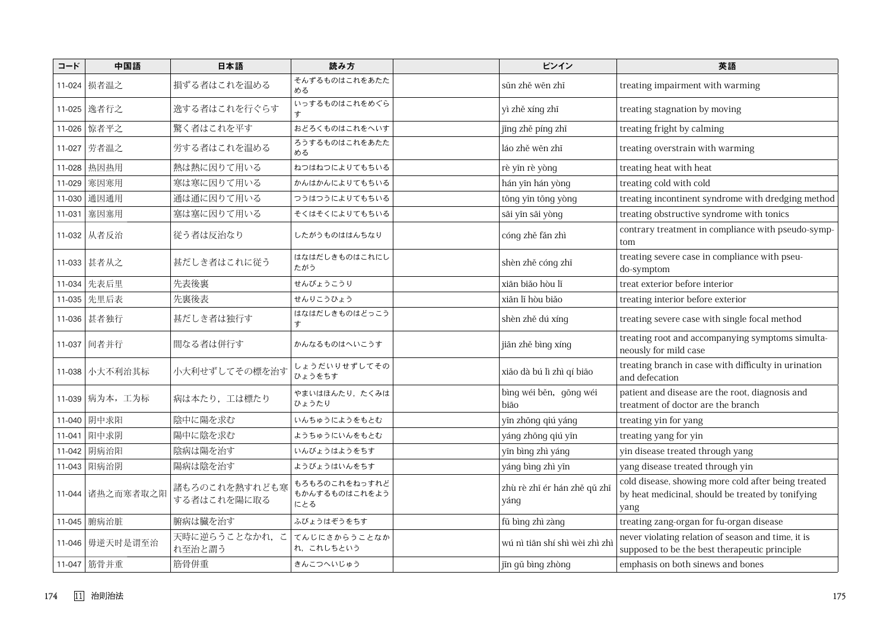| コード    | 中国語              | 日本語                          | 読み方                                   | ピンイン                                 | 英語                                                                                                               |
|--------|------------------|------------------------------|---------------------------------------|--------------------------------------|------------------------------------------------------------------------------------------------------------------|
|        | 11-024 损者温之      | 損ずる者はこれを温める                  | そんずるものはこれをあたた<br>める                   | sǔn zhě wēn zhī                      | treating impairment with warming                                                                                 |
|        | 11-025 选者行之      | 逸する者はこれを行ぐらす                 | いっするものはこれをめぐら<br>す                    | yì zhě xíng zhī                      | treating stagnation by moving                                                                                    |
|        | 11-026   惊者平之    | 驚く者はこれを平す                    | おどろくものはこれをへいす                         | jīng zhě píng zhī                    | treating fright by calming                                                                                       |
|        | 11-027 劳者温之      | 労する者はこれを温める                  | ろうするものはこれをあたた<br>める                   | láo zhě wēn zhī                      | treating overstrain with warming                                                                                 |
| 11-028 | 热因热用             | 熱は熱に因りて用いる                   | ねつはねつによりてもちいる                         | rè yīn rè yòng                       | treating heat with heat                                                                                          |
| 11-029 | 寒因寒用             | 寒は寒に因りて用いる                   | かんはかんによりてもちいる                         | hán yĩn hán yòng                     | treating cold with cold                                                                                          |
| 11-030 | 通因通用             | 通は通に因りて用いる                   | つうはつうによりてもちいる                         | tông yĩn tông yòng                   | treating incontinent syndrome with dredging method                                                               |
| 11-031 | 塞因塞用             | 塞は塞に因りて用いる                   | そくはそくによりてもちいる                         | sāi yīn sāi yòng                     | treating obstructive syndrome with tonics                                                                        |
|        | 11-032 从者反治      | 従う者は反治なり                     | したがうものははんちなり                          | cóng zhě făn zhì                     | contrary treatment in compliance with pseudo-symp-<br>tom                                                        |
|        | 11-033 甚者从之      | 甚だしき者はこれに従う                  | はなはだしきものはこれにし<br>たがう                  | shèn zhě cóng zhī                    | treating severe case in compliance with pseu-<br>do-symptom                                                      |
| 11-034 | 先表后里             | 先表後裏                         | せんぴょうこうり                              | xiān biǎo hòu lǐ                     | treat exterior before interior                                                                                   |
|        | 11-035 先里后表      | 先裏後表                         | せんりこうひょう                              | xiān lí hòu biǎo                     | treating interior before exterior                                                                                |
|        | 11-036 甚者独行      | 甚だしき者は独行す                    | はなはだしきものはどっこう<br>ォ                    | shèn zhě dú xíng                     | treating severe case with single focal method                                                                    |
|        | 11-037 间者并行      | 間なる者は併行す                     | かんなるものはへいこうす                          | jiān zhě bìng xíng                   | treating root and accompanying symptoms simulta-<br>neously for mild case                                        |
|        | 11-038 小大不利治其标   | 小大利せずしてその標を治す                | しょうだいりせずしてその<br>ひょうをちす                | xiăo dà bú lì zhì qí biāo            | treating branch in case with difficulty in urination<br>and defecation                                           |
|        | 11-039 病为本, 工为标  | 病は本たり、工は標たり                  | やまいはほんたり、たくみは<br>ひょうたり                | bìng wéi běn, gōng wéi<br>bião       | patient and disease are the root, diagnosis and<br>treatment of doctor are the branch                            |
| 11-040 | 阴中求阳             | 陰中に陽を求む                      | いんちゅうにようをもとむ                          | yīn zhōng qiú yáng                   | treating yin for yang                                                                                            |
| 11-041 | 阳中求阴             | 陽中に陰を求む                      | ようちゅうにいんをもとむ                          | yáng zhōng qiú yīn                   | treating yang for yin                                                                                            |
| 11-042 | 阴病治阳             | 陰病は陽を治す                      | いんびょうはようをちす                           | yīn bìng zhì yáng                    | yin disease treated through yang                                                                                 |
| 11-043 | 阳病治阴             | 陽病は陰を治す                      | ようびょうはいんをちす                           | yáng bìng zhì yīn                    | yang disease treated through yin                                                                                 |
|        | 11-044 诸热之而寒者取之阳 | 諸もろのこれを熱すれども寒<br>する者はこれを陽に取る | もろもろのこれをねっすれど<br>もかんするものはこれをよう<br>にとる | zhù rè zhī ér hán zhě qǔ zhī<br>yáng | cold disease, showing more cold after being treated<br>by heat medicinal, should be treated by tonifying<br>yang |
|        |                  | 腑病は臓を治す                      | ふびょうはぞうをちす                            | fǔ bìng zhì zàng                     | treating zang-organ for fu-organ disease                                                                         |
|        | 11-046 毋逆天时是谓至治  | 天時に逆らうことなかれ、こ<br>れ至治と謂う      | てんじにさからうことなか<br>れ、これしちという             | wú nì tiān shí shì wèi zhì zhì       | never violating relation of season and time, it is<br>supposed to be the best therapeutic principle              |
|        | 11-047 筋骨并重      | 筋骨併重                         | きんこつへいじゅう                             | jīn gǔ bìng zhòng                    | emphasis on both sinews and bones                                                                                |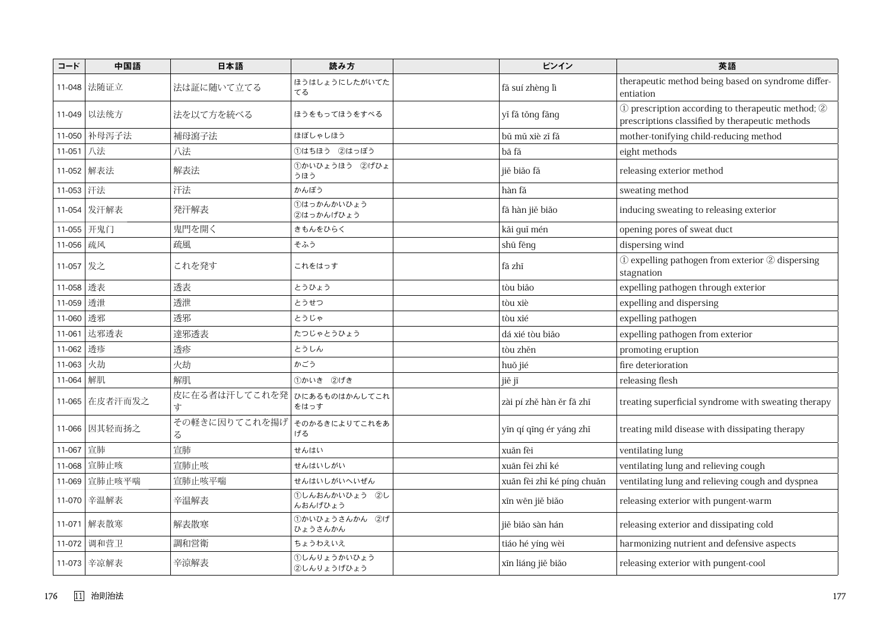| コード       | 中国語            | 日本語                              | 読み方                       | ピンイン                       | 英語                                                                                                    |
|-----------|----------------|----------------------------------|---------------------------|----------------------------|-------------------------------------------------------------------------------------------------------|
|           | 11-048 法随证立    | 法は証に随いて立てる                       | ほうはしょうにしたがいてた<br>てる       | fă suí zhèng lì            | therapeutic method being based on syndrome differ-<br>entiation                                       |
|           | 11-049 以法统方    | 法を以て方を統べる                        | ほうをもってほうをすべる              | yǐ fǎ tǒng fāng            | 1) prescription according to therapeutic method; 2<br>prescriptions classified by therapeutic methods |
|           | 11-050 补母泻子法   | 補母瀉子法                            | ほぼしゃしほう                   | bǔ mǔ xiè zǐ fǎ            | mother-tonifying child-reducing method                                                                |
| 11-051 八法 |                | 八法                               | 1はちほう 2はっぽう               | bā fǎ                      | eight methods                                                                                         |
|           | 11-052 解表法     | 解表法                              | ①かいひょうほう 2げひょ<br>うほう      | jiě biǎo fǎ                | releasing exterior method                                                                             |
| 11-053 开法 |                | 汗法                               | かんぽう                      | hàn fă                     | sweating method                                                                                       |
|           | 11-054 发汗解表    | 発汗解表                             | ①はっかんかいひょう<br>②はっかんげひょう   | fā hàn jiě biǎo            | inducing sweating to releasing exterior                                                               |
|           | 11-055 开鬼门     | 鬼門を開く                            | きもんをひらく                   | kāi guǐ mén                | opening pores of sweat duct                                                                           |
| 11-056    | 疏风             | 疏風                               | そふう                       | shū fēng                   | dispersing wind                                                                                       |
| 11-057 发之 |                | これを発す                            | これをはっす                    | fā zhī                     | 1) expelling pathogen from exterior 2 dispersing<br>stagnation                                        |
| 11-058 透表 |                | 透表                               | とうひょう                     | tòu biǎo                   | expelling pathogen through exterior                                                                   |
| 11-059 透泄 |                | 透泄                               | とうせつ                      | tòu xiè                    | expelling and dispersing                                                                              |
| 11-060 透邪 |                | 透邪                               | とうじゃ                      | tòu xié                    | expelling pathogen                                                                                    |
|           | 11-061 达邪透表    | 達邪透表                             | たつじゃとうひょう                 | dá xié tòu biǎo            | expelling pathogen from exterior                                                                      |
| 11-062 透疹 |                | 透疹                               | とうしん                      | tòu zhěn                   | promoting eruption                                                                                    |
| 11-063 火劫 |                | 火劫                               | かごう                       | huǒ jié                    | fire deterioration                                                                                    |
| 11-064 解肌 |                | 解肌                               | ①かいき ②げき                  | jiě jī                     | releasing flesh                                                                                       |
|           | 11-065 在皮者汗而发之 | 皮に在る者は汗してこれを発 ひにあるものはかんしてこれ<br>す | をはっす                      | zài pí zhě hàn ěr fā zhī   | treating superficial syndrome with sweating therapy                                                   |
|           | 11-066 因其轻而扬之  | その軽きに因りてこれを揚げ そのかるきによりてこれをあ<br>z | げる                        | yīn qí qīng ér yáng zhī    | treating mild disease with dissipating therapy                                                        |
| 11-067 宣肺 |                | 宣肺                               | せんはい                      | xuān fèi                   | ventilating lung                                                                                      |
| 11-068    | 宣肺止咳           | 宣肺止咳                             | せんはいしがい                   | xuān fèi zhǐ ké            | ventilating lung and relieving cough                                                                  |
|           | 11-069 宣肺止咳平喘  | 宣肺止咳平喘                           | せんはいしがいへいぜん               | xuān fèi zhǐ ké píng chuǎn | ventilating lung and relieving cough and dyspnea                                                      |
|           | 11-070 辛温解表    | 辛温解表                             | ①しんおんかいひょう ②し<br>んおんげひょう  | xīn wēn jiě biǎo           | releasing exterior with pungent-warm                                                                  |
|           | 11-071 解表散寒    | 解表散寒                             | ①かいひょうさんかん ②げ<br>ひょうさんかん  | jiě biăo sàn hán           | releasing exterior and dissipating cold                                                               |
|           | 11-072 调和营卫    | 調和営衛                             | ちょうわえいえ                   | tiáo hé yíng wèi           | harmonizing nutrient and defensive aspects                                                            |
|           | 11-073 辛凉解表    | 辛涼解表                             | ①しんりょうかいひょう<br>②しんりょうげひょう | xīn liáng jiě biǎo         | releasing exterior with pungent-cool                                                                  |